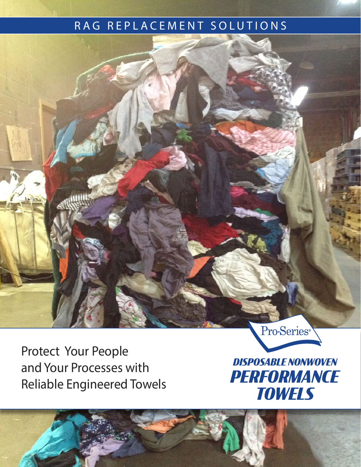## RAG REPLACEMENT SOLUTIONS

Protect Your People and Your Processes with Reliable Engineered Towels

*DISPOSABLE NONWOVEN PERFORMANCE TOWELS*

Pro-Series®